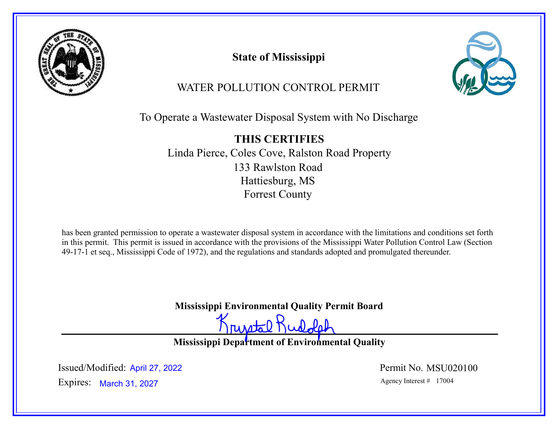

State of Mississippi



WATER POLLUTION CONTROL PERMIT

To Operate a Wastewater Disposal System with No Discharge

THIS CERTIFIES Linda Pierce, Coles Cove, Ralston Road Property 133 Rawlston Road Hattiesburg, MS Forrest County

has been granted permission to operate a wastewater disposal system in accordance with the limitations and conditions set forth in this permit. This permit is issued in accordance with the provisions of the Mississippi Water Pollution Control Law (Section 49-17-1 et seq., Mississippi Code of 1972), and the regulations and standards adopted and promulgated thereunder.

Mississippi Environmental Quality Permit Board

rustal Rudolph

Mississippi Department of Environmental Quality

Expires: March 31, 2027 **Agency Interest #** 17004 Issued/Modified: April 27, 2022 <br>
Permit No. MSU020100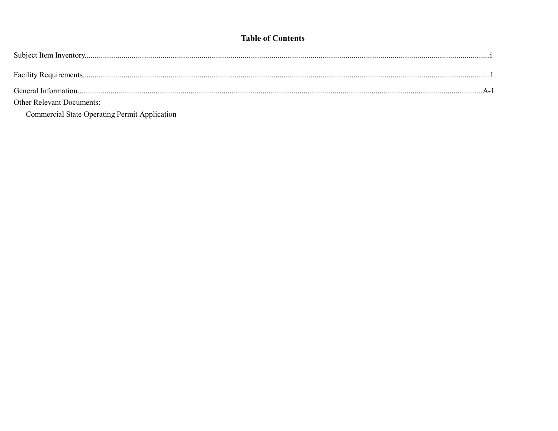## **Table of Contents**

| <b>Other Relevant Documents:</b> |  |
|----------------------------------|--|

Commercial State Operating Permit Application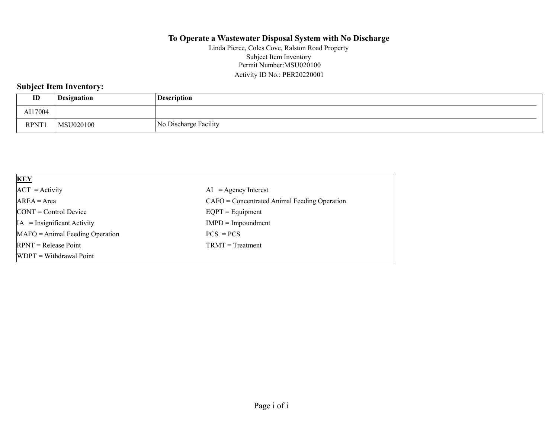### To Operate a Wastewater Disposal System with No Discharge

Permit Number:MSU020100 Activity ID No.: PER20220001 Linda Pierce, Coles Cove, Ralston Road Property Subject Item Inventory

## Subject Item Inventory:

| ID      | Designation | <b>Description</b>    |
|---------|-------------|-----------------------|
| AI17004 |             |                       |
| RPNT1   | MSU020100   | No Discharge Facility |

| <b>KEY</b>                            |                                                |
|---------------------------------------|------------------------------------------------|
| $ACT = Activity$                      | $AI = Agency Interest$                         |
| $AREA = Area$                         | $CAFO =$ Concentrated Animal Feeding Operation |
| $\text{CONT} = \text{Control Device}$ | $EQPT = Equipment$                             |
| $IA = Insignificant Activity$         | $IMPD = Impoundment$                           |
| $MAFO = Animal Feeding Operation$     | $PCS = PCs$                                    |
| $RPNT = Release Point$                | $TRMT = Treatment$                             |
| $WDPT = Without$                      |                                                |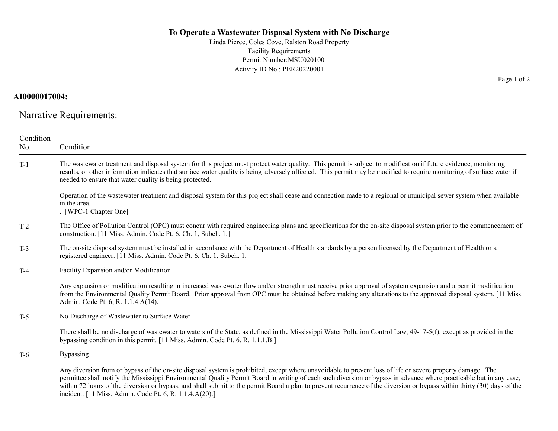#### To Operate a Wastewater Disposal System with No Discharge

Linda Pierce, Coles Cove, Ralston Road Property Facility Requirements Permit Number:MSU020100 Activity ID No.: PER20220001

#### AI0000017004:

Narrative Requirements:

| Condition<br>No. | Condition                                                                                                                                                                                                                                                                                                                                                                                                                                                                                                    |  |
|------------------|--------------------------------------------------------------------------------------------------------------------------------------------------------------------------------------------------------------------------------------------------------------------------------------------------------------------------------------------------------------------------------------------------------------------------------------------------------------------------------------------------------------|--|
| $T-1$            | The wastewater treatment and disposal system for this project must protect water quality. This permit is subject to modification if future evidence, monitoring<br>results, or other information indicates that surface water quality is being adversely affected. This permit may be modified to require monitoring of surface water if<br>needed to ensure that water quality is being protected.                                                                                                          |  |
|                  | Operation of the wastewater treatment and disposal system for this project shall cease and connection made to a regional or municipal sewer system when available<br>in the area.<br>. [WPC-1 Chapter One]                                                                                                                                                                                                                                                                                                   |  |
| $T-2$            | The Office of Pollution Control (OPC) must concur with required engineering plans and specifications for the on-site disposal system prior to the commencement of<br>construction. [11 Miss. Admin. Code Pt. 6, Ch. 1, Subch. 1.]                                                                                                                                                                                                                                                                            |  |
| $T-3$            | The on-site disposal system must be installed in accordance with the Department of Health standards by a person licensed by the Department of Health or a<br>registered engineer. [11 Miss. Admin. Code Pt. 6, Ch. 1, Subch. 1.]                                                                                                                                                                                                                                                                             |  |
| $T-4$            | Facility Expansion and/or Modification                                                                                                                                                                                                                                                                                                                                                                                                                                                                       |  |
|                  | Any expansion or modification resulting in increased wastewater flow and/or strength must receive prior approval of system expansion and a permit modification<br>from the Environmental Quality Permit Board. Prior approval from OPC must be obtained before making any alterations to the approved disposal system. [11 Miss.]<br>Admin. Code Pt. 6, R. 1.1.4.A(14).]                                                                                                                                     |  |
| $T-5$            | No Discharge of Wastewater to Surface Water                                                                                                                                                                                                                                                                                                                                                                                                                                                                  |  |
|                  | There shall be no discharge of wastewater to waters of the State, as defined in the Mississippi Water Pollution Control Law, 49-17-5(f), except as provided in the<br>bypassing condition in this permit. [11 Miss. Admin. Code Pt. 6, R. 1.1.1.B.]                                                                                                                                                                                                                                                          |  |
| $T-6$            | <b>Bypassing</b>                                                                                                                                                                                                                                                                                                                                                                                                                                                                                             |  |
|                  | Any diversion from or bypass of the on-site disposal system is prohibited, except where unavoidable to prevent loss of life or severe property damage. The<br>permittee shall notify the Mississippi Environmental Quality Permit Board in writing of each such diversion or bypass in advance where practicable but in any case,<br>within 72 hours of the diversion or bypass, and shall submit to the permit Board a plan to prevent recurrence of the diversion or bypass within thirty (30) days of the |  |

incident. [11 Miss. Admin. Code Pt. 6, R. 1.1.4.A(20).]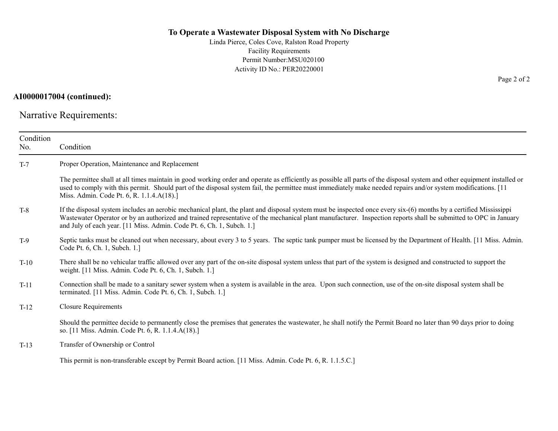#### To Operate a Wastewater Disposal System with No Discharge

Linda Pierce, Coles Cove, Ralston Road Property Facility Requirements Permit Number:MSU020100 Activity ID No.: PER20220001

#### AI0000017004 (continued):

Narrative Requirements:

| Condition<br>No. | Condition                                                                                                                                                                                                                                                                                                                                                                                                      |  |  |
|------------------|----------------------------------------------------------------------------------------------------------------------------------------------------------------------------------------------------------------------------------------------------------------------------------------------------------------------------------------------------------------------------------------------------------------|--|--|
| $T-7$            | Proper Operation, Maintenance and Replacement                                                                                                                                                                                                                                                                                                                                                                  |  |  |
|                  | The permittee shall at all times maintain in good working order and operate as efficiently as possible all parts of the disposal system and other equipment installed or<br>used to comply with this permit. Should part of the disposal system fail, the permittee must immediately make needed repairs and/or system modifications. [11]<br>Miss. Admin. Code Pt. 6, R. 1.1.4.A(18).]                        |  |  |
| $T-8$            | If the disposal system includes an aerobic mechanical plant, the plant and disposal system must be inspected once every six-(6) months by a certified Mississippi<br>Wastewater Operator or by an authorized and trained representative of the mechanical plant manufacturer. Inspection reports shall be submitted to OPC in January<br>and July of each year. [11 Miss. Admin. Code Pt. 6, Ch. 1, Subch. 1.] |  |  |
| $T-9$            | Septic tanks must be cleaned out when necessary, about every 3 to 5 years. The septic tank pumper must be licensed by the Department of Health. [11 Miss. Admin.<br>Code Pt. 6, Ch. 1, Subch. 1.]                                                                                                                                                                                                              |  |  |
| $T-10$           | There shall be no vehicular traffic allowed over any part of the on-site disposal system unless that part of the system is designed and constructed to support the<br>weight. [11 Miss. Admin. Code Pt. 6, Ch. 1, Subch. 1.]                                                                                                                                                                                   |  |  |
| $T-11$           | Connection shall be made to a sanitary sewer system when a system is available in the area. Upon such connection, use of the on-site disposal system shall be<br>terminated. [11 Miss. Admin. Code Pt. 6, Ch. 1, Subch. 1.]                                                                                                                                                                                    |  |  |
| $T-12$           | <b>Closure Requirements</b>                                                                                                                                                                                                                                                                                                                                                                                    |  |  |
|                  | Should the permittee decide to permanently close the premises that generates the wastewater, he shall notify the Permit Board no later than 90 days prior to doing<br>so. [11 Miss. Admin. Code Pt. 6, R. 1.1.4.A(18).]                                                                                                                                                                                        |  |  |
| $T-13$           | Transfer of Ownership or Control                                                                                                                                                                                                                                                                                                                                                                               |  |  |
|                  | This permit is non-transferable except by Permit Board action. [11 Miss. Admin. Code Pt. 6, R. 1.1.5.C.]                                                                                                                                                                                                                                                                                                       |  |  |

Page 2 of 2